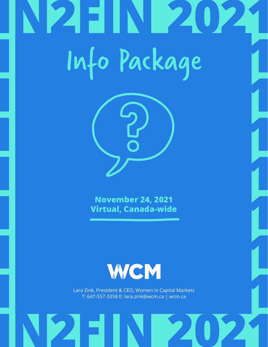# 2FIN 2 Info Package



**November 24, 2021 Virtual, Canada-wide**



Lara Zink, President & CEO, Women in Capital Markets T: 647-557-3358 E: lara.zink@wcm.ca | [wcm.ca](https://wcm.ca/)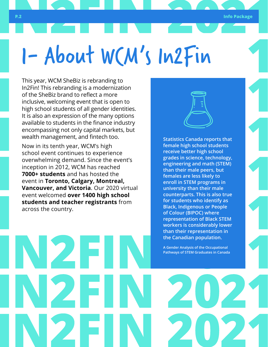## 1- About WCM's In2Fin

This year, WCM SheBiz is rebranding to In2Fin! This rebranding is a modernization of the SheBiz brand to reflect a more inclusive, welcoming event that is open to high school students of all gender identities. It is also an expression of the many options available to students in the finance industry encompassing not only capital markets, but wealth management, and fintech too.

Now in its tenth year, WCM's high school event continues to experience overwhelming demand. Since the event's inception in 2012, WCM has reached **7000+ students** and has hosted the event in **Toronto, Calgary, Montreal, Vancouver, and Victoria**. Our 2020 virtual event welcomed **over 1400 high school students and teacher registrants** from across the country.

**Statistics Canada reports that female high school students receive better high school grades in science, technology, engineering and math (STEM) than their male peers, but females are less likely to enroll in STEM programs in university than their male counterparts. This is also true for students who identify as Black, Indigenous or People of Colour (BIPOC) where representation of Black STEM workers is considerably lower than their representation in the Canadian population.** 

**[A Gender Analysis of the Occupational](https://www150.statcan.gc.ca/
n1/pub/11f0019m/11f0019m2019017-eng.htm)  [Pathways of STEM Graduates in Canada](https://www150.statcan.gc.ca/
n1/pub/11f0019m/11f0019m2019017-eng.htm)**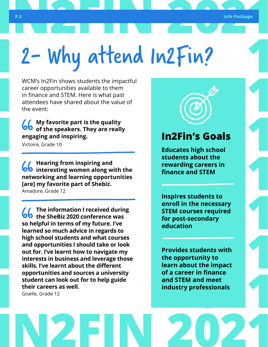## 2- Why attend In2Fin?

WCM's In2Fin shows students the impactful career opportunities available to them in finance and STEM. Here is what past attendees have shared about the value of the event:

**My favorite part is the quality of the speakers. They are really engaging and inspiring.**

Victoire, Grade 10

**Hearing from inspiring and interesting women along with the networking and learning opportunities [are] my favorite part of Shebiz.** Amadore, Grade 12

**The information I received during the SheBiz 2020 conference was so helpful in terms of my future. I've learned so much advice in regards to high school students and what courses and opportunities I should take or look out for. I've learnt how to navigate my interests in business and leverage those skills. I've learnt about the different opportunities and sources a university student can look out for to help guide their careers as well.**

Giselle, Grade 12

### **In2Fin's Goals**

**Educates high school students about the rewarding careers in finance and STEM**

**Inspires students to enroll in the necessary STEM courses required for post-secondary education**

**Provides students with the opportunity to learn about the impact of a career in finance and STEM and meet industry professionals**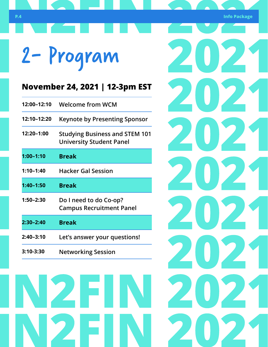**P.4 Info Package**

202

202

202

202

202

202

0 P.

2

## 2- Program

### **November 24, 2021 | 12-3pm EST**

| 12:00-12:10   | <b>Welcome from WCM</b>                                                  |
|---------------|--------------------------------------------------------------------------|
| 12:10-12:20   | <b>Keynote by Presenting Sponsor</b>                                     |
| 12:20-1:00    | <b>Studying Business and STEM 101</b><br><b>University Student Panel</b> |
| $1:00 - 1:10$ | <b>Break</b>                                                             |
| $1:10 - 1:40$ | <b>Hacker Gal Session</b>                                                |
|               |                                                                          |
| $1:40 - 1:50$ | <b>Break</b>                                                             |
| $1:50 - 2:30$ | Do I need to do Co-op?<br><b>Campus Recruitment Panel</b>                |
| 2:30-2:40     | <b>Break</b>                                                             |
| $2:40 - 3:10$ | Let's answer your questions!                                             |

N 2 F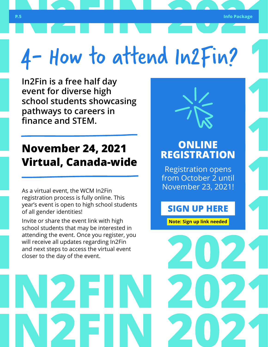## 4- How to attend In2Fin?

**In2Fin is a free half day event for diverse high school students showcasing pathways to careers in finance and STEM.**

### **November 24, 2021 Virtual, Canada-wide**

As a virtual event, the WCM In2Fin registration process is fully online. This year's event is open to high school students of all gender identities!

Invite or share the event link with high school students that may be interested in attending the event. Once you register, you will receive all updates regarding In2Fin and next steps to access the virtual event closer to the day of the event.



### **ONLINE REGISTRATION**

Registration opens from October 2 until November 23, 2021!

**SIGN UP HERE**

**Note: Sign up link needed**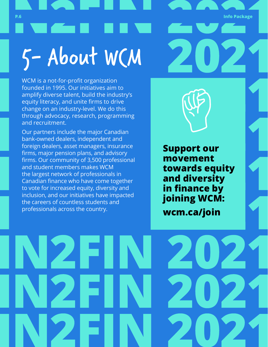**P.6 Info Package** 5- About WCM

WCM is a not-for-profit organization founded in 1995. Our initiatives aim to amplify diverse talent, build the industry's equity literacy, and unite firms to drive change on an industry-level. We do this through advocacy, research, programming and recruitment.

Our partners include the major Canadian bank-owned dealers, independent and foreign dealers, asset managers, insurance firms, major pension plans, and advisory firms. Our community of 3,500 professional and student members makes WCM the largest network of professionals in Canadian finance who have come together to vote for increased equity, diversity and inclusion, and our initiatives have impacted the careers of countless students and professionals across the country.

**Support our movement towards equity and diversity in finance by joining WCM: [wcm.ca/join](https://wcm.ca/join)**